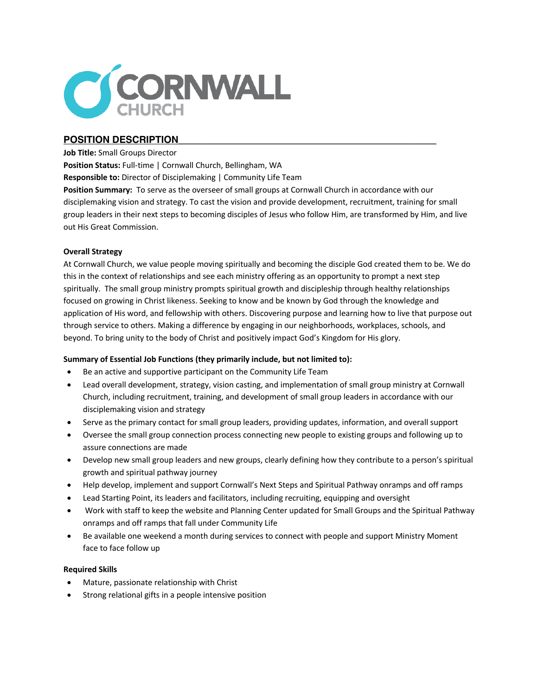

# POSITION DESCRIPTION

#### **Job Title:** Small Groups Director

**Position Status:** Full-time | Cornwall Church, Bellingham, WA

**Responsible to:** Director of Disciplemaking | Community Life Team

**Position Summary:** To serve as the overseer of small groups at Cornwall Church in accordance with our disciplemaking vision and strategy. To cast the vision and provide development, recruitment, training for small group leaders in their next steps to becoming disciples of Jesus who follow Him, are transformed by Him, and live out His Great Commission.

# **Overall Strategy**

At Cornwall Church, we value people moving spiritually and becoming the disciple God created them to be. We do this in the context of relationships and see each ministry offering as an opportunity to prompt a next step spiritually. The small group ministry prompts spiritual growth and discipleship through healthy relationships focused on growing in Christ likeness. Seeking to know and be known by God through the knowledge and application of His word, and fellowship with others. Discovering purpose and learning how to live that purpose out through service to others. Making a difference by engaging in our neighborhoods, workplaces, schools, and beyond. To bring unity to the body of Christ and positively impact God's Kingdom for His glory.

# **Summary of Essential Job Functions (they primarily include, but not limited to):**

- Be an active and supportive participant on the Community Life Team
- Lead overall development, strategy, vision casting, and implementation of small group ministry at Cornwall Church, including recruitment, training, and development of small group leaders in accordance with our disciplemaking vision and strategy
- Serve as the primary contact for small group leaders, providing updates, information, and overall support
- Oversee the small group connection process connecting new people to existing groups and following up to assure connections are made
- Develop new small group leaders and new groups, clearly defining how they contribute to a person's spiritual growth and spiritual pathway journey
- Help develop, implement and support Cornwall's Next Steps and Spiritual Pathway onramps and off ramps
- Lead Starting Point, its leaders and facilitators, including recruiting, equipping and oversight
- Work with staff to keep the website and Planning Center updated for Small Groups and the Spiritual Pathway onramps and off ramps that fall under Community Life
- Be available one weekend a month during services to connect with people and support Ministry Moment face to face follow up

# **Required Skills**

- Mature, passionate relationship with Christ
- Strong relational gifts in a people intensive position